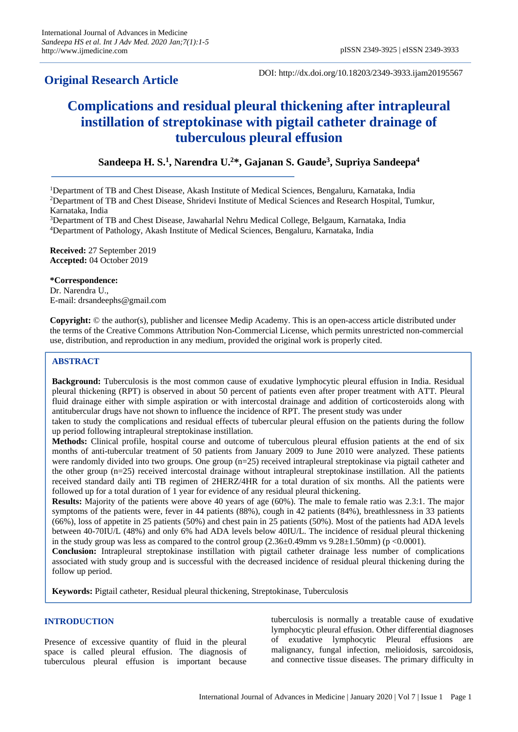# **Original Research Article**

DOI: http://dx.doi.org/10.18203/2349-3933.ijam20195567

# **Complications and residual pleural thickening after intrapleural instillation of streptokinase with pigtail catheter drainage of tuberculous pleural effusion**

# **Sandeepa H. S.<sup>1</sup> , Narendra U.<sup>2</sup>\*, Gajanan S. Gaude<sup>3</sup> , Supriya Sandeepa<sup>4</sup>**

<sup>1</sup>Department of TB and Chest Disease, Akash Institute of Medical Sciences, Bengaluru, Karnataka, India <sup>2</sup>Department of TB and Chest Disease, Shridevi Institute of Medical Sciences and Research Hospital, Tumkur, Karnataka, India

<sup>3</sup>Department of TB and Chest Disease, Jawaharlal Nehru Medical College, Belgaum, Karnataka, India <sup>4</sup>Department of Pathology, Akash Institute of Medical Sciences, Bengaluru, Karnataka, India

**Received:** 27 September 2019 **Accepted:** 04 October 2019

# **\*Correspondence:**

Dr. Narendra U., E-mail: drsandeephs@gmail.com

**Copyright:** © the author(s), publisher and licensee Medip Academy. This is an open-access article distributed under the terms of the Creative Commons Attribution Non-Commercial License, which permits unrestricted non-commercial use, distribution, and reproduction in any medium, provided the original work is properly cited.

# **ABSTRACT**

**Background:** Tuberculosis is the most common cause of exudative lymphocytic pleural effusion in India. Residual pleural thickening (RPT) is observed in about 50 percent of patients even after proper treatment with ATT. Pleural fluid drainage either with simple aspiration or with intercostal drainage and addition of corticosteroids along with antitubercular drugs have not shown to influence the incidence of RPT. The present study was under

taken to study the complications and residual effects of tubercular pleural effusion on the patients during the follow up period following intrapleural streptokinase instillation.

**Methods:** Clinical profile, hospital course and outcome of tuberculous pleural effusion patients at the end of six months of anti-tubercular treatment of 50 patients from January 2009 to June 2010 were analyzed. These patients were randomly divided into two groups. One group (n=25) received intrapleural streptokinase via pigtail catheter and the other group (n=25) received intercostal drainage without intrapleural streptokinase instillation. All the patients received standard daily anti TB regimen of 2HERZ/4HR for a total duration of six months. All the patients were followed up for a total duration of 1 year for evidence of any residual pleural thickening.

**Results:** Majority of the patients were above 40 years of age (60%). The male to female ratio was 2.3:1. The major symptoms of the patients were, fever in 44 patients (88%), cough in 42 patients (84%), breathlessness in 33 patients (66%), loss of appetite in 25 patients (50%) and chest pain in 25 patients (50%). Most of the patients had ADA levels between 40-70IU/L (48%) and only 6% had ADA levels below 40IU/L. The incidence of residual pleural thickening in the study group was less as compared to the control group  $(2.36\pm0.49$ mm vs  $9.28\pm1.50$ mm) (p <0.0001).

**Conclusion:** Intrapleural streptokinase instillation with pigtail catheter drainage less number of complications associated with study group and is successful with the decreased incidence of residual pleural thickening during the follow up period.

**Keywords:** Pigtail catheter, Residual pleural thickening, Streptokinase, Tuberculosis

# **INTRODUCTION**

Presence of excessive quantity of fluid in the pleural space is called pleural effusion. The diagnosis of tuberculous pleural effusion is important because tuberculosis is normally a treatable cause of exudative lymphocytic pleural effusion. Other differential diagnoses of exudative lymphocytic Pleural effusions are malignancy, fungal infection, melioidosis, sarcoidosis, and connective tissue diseases. The primary difficulty in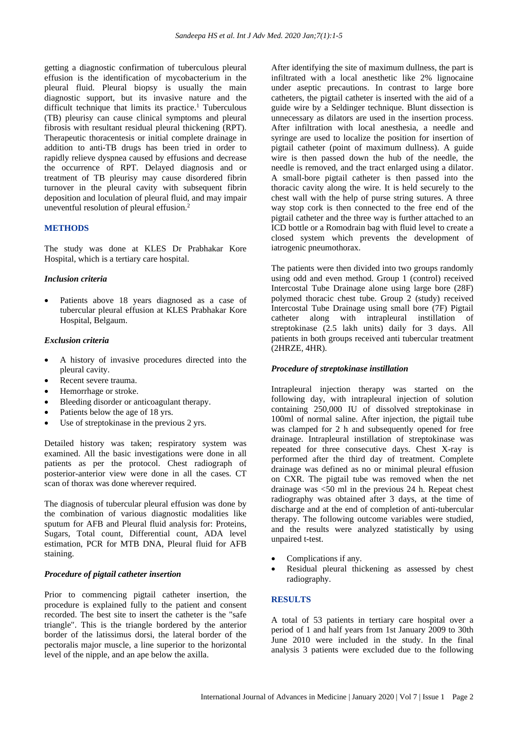getting a diagnostic confirmation of tuberculous pleural effusion is the identification of mycobacterium in the pleural fluid. Pleural biopsy is usually the main diagnostic support, but its invasive nature and the difficult technique that limits its practice.<sup>1</sup> Tuberculous (TB) pleurisy can cause clinical symptoms and pleural fibrosis with resultant residual pleural thickening (RPT). Therapeutic thoracentesis or initial complete drainage in addition to anti-TB drugs has been tried in order to rapidly relieve dyspnea caused by effusions and decrease the occurrence of RPT. Delayed diagnosis and or treatment of TB pleurisy may cause disordered fibrin turnover in the pleural cavity with subsequent fibrin deposition and loculation of pleural fluid, and may impair uneventful resolution of pleural effusion.<sup>2</sup>

#### **METHODS**

The study was done at KLES Dr Prabhakar Kore Hospital, which is a tertiary care hospital.

#### *Inclusion criteria*

Patients above 18 years diagnosed as a case of tubercular pleural effusion at KLES Prabhakar Kore Hospital, Belgaum.

#### *Exclusion criteria*

- A history of invasive procedures directed into the pleural cavity.
- Recent severe trauma.
- Hemorrhage or stroke.
- Bleeding disorder or anticoagulant therapy.
- Patients below the age of 18 yrs.
- Use of streptokinase in the previous 2 yrs.

Detailed history was taken; respiratory system was examined. All the basic investigations were done in all patients as per the protocol. Chest radiograph of posterior-anterior view were done in all the cases. CT scan of thorax was done wherever required.

The diagnosis of tubercular pleural effusion was done by the combination of various diagnostic modalities like sputum for AFB and Pleural fluid analysis for: Proteins, Sugars, Total count, Differential count, ADA level estimation, PCR for MTB DNA, Pleural fluid for AFB staining.

## *Procedure of pigtail catheter insertion*

Prior to commencing pigtail catheter insertion, the procedure is explained fully to the patient and consent recorded. The best site to insert the catheter is the "safe triangle". This is the triangle bordered by the anterior border of the latissimus dorsi, the lateral border of the pectoralis major muscle, a line superior to the horizontal level of the nipple, and an ape below the axilla.

After identifying the site of maximum dullness, the part is infiltrated with a local anesthetic like 2% lignocaine under aseptic precautions. In contrast to large bore catheters, the pigtail catheter is inserted with the aid of a guide wire by a Seldinger technique. Blunt dissection is unnecessary as dilators are used in the insertion process. After infiltration with local anesthesia, a needle and syringe are used to localize the position for insertion of pigtail catheter (point of maximum dullness). A guide wire is then passed down the hub of the needle, the needle is removed, and the tract enlarged using a dilator. A small-bore pigtail catheter is then passed into the thoracic cavity along the wire. It is held securely to the chest wall with the help of purse string sutures. A three way stop cork is then connected to the free end of the pigtail catheter and the three way is further attached to an ICD bottle or a Romodrain bag with fluid level to create a closed system which prevents the development of iatrogenic pneumothorax.

The patients were then divided into two groups randomly using odd and even method. Group 1 (control) received Intercostal Tube Drainage alone using large bore (28F) polymed thoracic chest tube. Group 2 (study) received Intercostal Tube Drainage using small bore (7F) Pigtail catheter along with intrapleural instillation of streptokinase (2.5 lakh units) daily for 3 days. All patients in both groups received anti tubercular treatment (2HRZE, 4HR).

#### *Procedure of streptokinase instillation*

Intrapleural injection therapy was started on the following day, with intrapleural injection of solution containing 250,000 IU of dissolved streptokinase in 100ml of normal saline. After injection, the pigtail tube was clamped for 2 h and subsequently opened for free drainage. Intrapleural instillation of streptokinase was repeated for three consecutive days. Chest X-ray is performed after the third day of treatment. Complete drainage was defined as no or minimal pleural effusion on CXR. The pigtail tube was removed when the net drainage was <50 ml in the previous 24 h. Repeat chest radiography was obtained after 3 days, at the time of discharge and at the end of completion of anti-tubercular therapy. The following outcome variables were studied, and the results were analyzed statistically by using unpaired t-test.

- Complications if any.
- Residual pleural thickening as assessed by chest radiography.

#### **RESULTS**

A total of 53 patients in tertiary care hospital over a period of 1 and half years from 1st January 2009 to 30th June 2010 were included in the study. In the final analysis 3 patients were excluded due to the following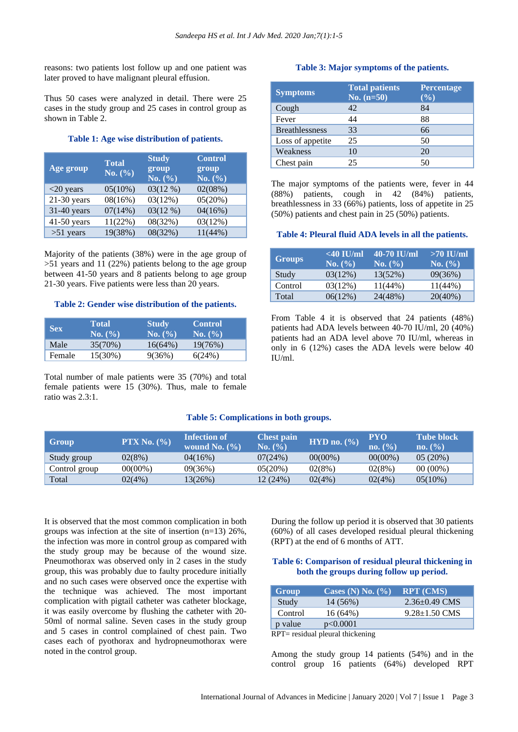reasons: two patients lost follow up and one patient was later proved to have malignant pleural effusion.

Thus 50 cases were analyzed in detail. There were 25 cases in the study group and 25 cases in control group as shown in Table 2.

#### **Table 1: Age wise distribution of patients.**

| Age group     | <b>Total</b><br>No. $(\% )$ | <b>Study</b><br>group<br>No. (%) | <b>Control</b><br>group<br>No. $(\% )$ |
|---------------|-----------------------------|----------------------------------|----------------------------------------|
| $<$ 20 years  | 05(10%)                     | 03(12%)                          | 02(08%)                                |
| $21-30$ years | 08(16%)                     | 03(12%)                          | 05(20%)                                |
| $31-40$ years | 07(14%)                     | 03(12%)                          | 04(16%)                                |
| $41-50$ years | 11(22%)                     | 08(32%)                          | 03(12%)                                |
| $>51$ years   | 19(38%)                     | 08(32%)                          | $11(44\%)$                             |

Majority of the patients (38%) were in the age group of >51 years and 11 (22%) patients belong to the age group between 41-50 years and 8 patients belong to age group 21-30 years. Five patients were less than 20 years.

#### **Table 2: Gender wise distribution of the patients.**

| <b>Sex</b> | <b>Total</b><br>No. (%) | <b>Study</b><br>No. (%) | <b>Control</b><br>No. (%) |
|------------|-------------------------|-------------------------|---------------------------|
| Male       | 35(70%)                 | $16(64\%)$              | 19(76%)                   |
| Female     | 15(30%)                 | 9(36%)                  | 6(24%)                    |

Total number of male patients were 35 (70%) and total female patients were 15 (30%). Thus, male to female ratio was 2.3:1.

#### **Table 3: Major symptoms of the patients.**

| <b>Symptoms</b>       | <b>Total patients</b><br>No. $(n=50)$ | Percentage<br>$(\%)$ |
|-----------------------|---------------------------------------|----------------------|
| Cough                 | 42                                    | 84                   |
| Fever                 | 44                                    | 88                   |
| <b>Breathlessness</b> | 33                                    | 66                   |
| Loss of appetite      | 25                                    | 50                   |
| Weakness              | 10                                    | 20                   |
| Chest pain            | 25                                    | 50                   |

The major symptoms of the patients were, fever in 44 (88%) patients, cough in 42 (84%) patients, breathlessness in 33 (66%) patients, loss of appetite in 25 (50%) patients and chest pain in 25 (50%) patients.

#### **Table 4: Pleural fluid ADA levels in all the patients.**

| <b>Groups</b> | $<$ 40 IU/ml<br>No. (%) | 40-70 IU/ml<br>No. (%) | $>70$ IU/ml<br>No. (%) |
|---------------|-------------------------|------------------------|------------------------|
| Study         | 03(12%)                 | $13(52\%)$             | 09(36%)                |
| Control       | 03(12%)                 | $11(44\%)$             | $11(44\%)$             |
| Total         | 06(12%)                 | 24(48%)                | 20(40%)                |

From Table 4 it is observed that 24 patients (48%) patients had ADA levels between 40-70 IU/ml, 20 (40%) patients had an ADA level above 70 IU/ml, whereas in only in 6 (12%) cases the ADA levels were below 40 IU/ml.

#### **Table 5: Complications in both groups.**

| Group         | PTX No. $(\% )$ | <b>Infection of</b><br>wound No. $(\% )$ | <b>Chest pain</b><br>$\bf{No.}$ (%) | $HYD$ no. $(\% )$ | PYO<br>$\bf{n}$ o. $(\% )$ | <b>Tube block</b><br>$\mathbf{no.}$ (%) |
|---------------|-----------------|------------------------------------------|-------------------------------------|-------------------|----------------------------|-----------------------------------------|
| Study group   | 02(8%)          | 04(16%)                                  | 07(24%)                             | $00(00\%)$        | $00(00\%)$                 | 05(20%)                                 |
| Control group | 00(00%)         | 09(36%)                                  | 05(20%)                             | 02(8%)            | 02(8%)                     | $00(00\%)$                              |
| Total         | 02(4%)          | 13(26%)                                  | 12 (24%)                            | 02(4%)            | 02(4%)                     | $05(10\%)$                              |

It is observed that the most common complication in both groups was infection at the site of insertion (n=13) 26%, the infection was more in control group as compared with the study group may be because of the wound size. Pneumothorax was observed only in 2 cases in the study group, this was probably due to faulty procedure initially and no such cases were observed once the expertise with the technique was achieved. The most important complication with pigtail catheter was catheter blockage, it was easily overcome by flushing the catheter with 20- 50ml of normal saline. Seven cases in the study group and 5 cases in control complained of chest pain. Two cases each of pyothorax and hydropneumothorax were noted in the control group.

During the follow up period it is observed that 30 patients (60%) of all cases developed residual pleural thickening (RPT) at the end of 6 months of ATT.

# **Table 6: Comparison of residual pleural thickening in both the groups during follow up period.**

| Group   | Cases (N) No. $(\%$ ) | <b>RPT</b> (CMS)    |
|---------|-----------------------|---------------------|
| Study   | 14 (56%)              | $2.36 + 0.49$ CMS   |
| Control | $16(64\%)$            | $9.28 \pm 1.50$ CMS |
| p value | p<0.0001              |                     |

 $RPT = residual$  pleural thickening

Among the study group 14 patients (54%) and in the control group 16 patients (64%) developed RPT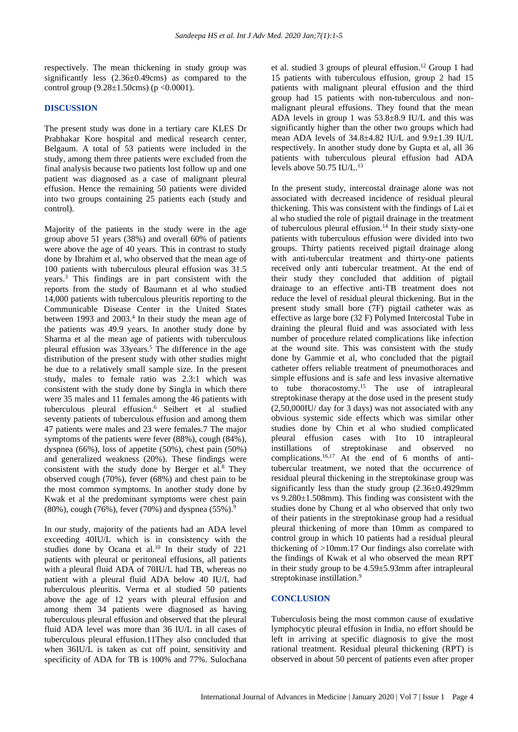respectively. The mean thickening in study group was significantly less (2.36±0.49cms) as compared to the control group  $(9.28 \pm 1.50 \text{ cm})$  (p <0.0001).

# **DISCUSSION**

The present study was done in a tertiary care KLES Dr Prabhakar Kore hospital and medical research center, Belgaum. A total of 53 patients were included in the study, among them three patients were excluded from the final analysis because two patients lost follow up and one patient was diagnosed as a case of malignant pleural effusion. Hence the remaining 50 patients were divided into two groups containing 25 patients each (study and control).

Majority of the patients in the study were in the age group above 51 years (38%) and overall 60% of patients were above the age of 40 years. This in contrast to study done by Ibrahim et al, who observed that the mean age of 100 patients with tuberculous pleural effusion was 31.5 years.<sup>3</sup> This findings are in part consistent with the reports from the study of Baumann et al who studied 14,000 patients with tuberculous pleuritis reporting to the Communicable Disease Center in the United States between 1993 and 2003.<sup>4</sup> In their study the mean age of the patients was 49.9 years. In another study done by Sharma et al the mean age of patients with tuberculous pleural effusion was 33years.<sup>5</sup> The difference in the age distribution of the present study with other studies might be due to a relatively small sample size. In the present study, males to female ratio was 2.3:1 which was consistent with the study done by Singla in which there were 35 males and 11 females among the 46 patients with tuberculous pleural effusion.<sup>6</sup> Seibert et al studied seventy patients of tuberculous effusion and among them 47 patients were males and 23 were females.7 The major symptoms of the patients were fever (88%), cough (84%), dyspnea (66%), loss of appetite (50%), chest pain (50%) and generalized weakness (20%). These findings were consistent with the study done by Berger et al.<sup>8</sup> They observed cough (70%), fever (68%) and chest pain to be the most common symptoms. In another study done by Kwak et al the predominant symptoms were chest pain (80%), cough (76%), fever (70%) and dyspnea (55%).<sup>9</sup>

In our study, majority of the patients had an ADA level exceeding 40IU/L which is in consistency with the studies done by Ocana et al.<sup>10</sup> In their study of 221 patients with pleural or peritoneal effusions, all patients with a pleural fluid ADA of 70IU/L had TB, whereas no patient with a pleural fluid ADA below 40 IU/L had tuberculous pleuritis. Verma et al studied 50 patients above the age of 12 years with pleural effusion and among them 34 patients were diagnosed as having tuberculous pleural effusion and observed that the pleural fluid ADA level was more than 36 IU/L in all cases of tuberculous pleural effusion.11They also concluded that when 36IU/L is taken as cut off point, sensitivity and specificity of ADA for TB is 100% and 77%. Sulochana et al. studied 3 groups of pleural effusion.<sup>12</sup> Group 1 had 15 patients with tuberculous effusion, group 2 had 15 patients with malignant pleural effusion and the third group had 15 patients with non-tuberculous and nonmalignant pleural effusions. They found that the mean ADA levels in group 1 was 53.8±8.9 IU/L and this was significantly higher than the other two groups which had mean ADA levels of 34.8±4.82 IU/L and 9.9±1.39 IU/L respectively. In another study done by Gupta et al, all 36 patients with tuberculous pleural effusion had ADA levels above 50.75 IU/L.<sup>13</sup>

In the present study, intercostal drainage alone was not associated with decreased incidence of residual pleural thickening. This was consistent with the findings of Lai et al who studied the role of pigtail drainage in the treatment of tuberculous pleural effusion.<sup>14</sup> In their study sixty-one patients with tuberculous effusion were divided into two groups. Thirty patients received pigtail drainage along with anti-tubercular treatment and thirty-one patients received only anti tubercular treatment. At the end of their study they concluded that addition of pigtail drainage to an effective anti-TB treatment does not reduce the level of residual pleural thickening. But in the present study small bore (7F) pigtail catheter was as effective as large bore (32 F) Polymed Intercostal Tube in draining the pleural fluid and was associated with less number of procedure related complications like infection at the wound site. This was consistent with the study done by Gammie et al, who concluded that the pigtail catheter offers reliable treatment of pneumothoraces and simple effusions and is safe and less invasive alternative to tube thoracostomy.<sup>15</sup> The use of intrapleural streptokinase therapy at the dose used in the present study (2,50,000IU/ day for 3 days) was not associated with any obvious systemic side effects which was similar other studies done by Chin et al who studied complicated pleural effusion cases with 1to 10 intrapleural instillations of streptokinase and observed no complications.16,17 At the end of 6 months of antitubercular treatment, we noted that the occurrence of residual pleural thickening in the streptokinase group was significantly less than the study group (2.36±0.4929mm vs 9.280±1.508mm). This finding was consistent with the studies done by Chung et al who observed that only two of their patients in the streptokinase group had a residual pleural thickening of more than 10mm as compared to control group in which 10 patients had a residual pleural thickening of >10mm.17 Our findings also correlate with the findings of Kwak et al who observed the mean RPT in their study group to be 4.59±5.93mm after intrapleural streptokinase instillation.<sup>9</sup>

#### **CONCLUSION**

Tuberculosis being the most common cause of exudative lymphocytic pleural effusion in India, no effort should be left in arriving at specific diagnosis to give the most rational treatment. Residual pleural thickening (RPT) is observed in about 50 percent of patients even after proper